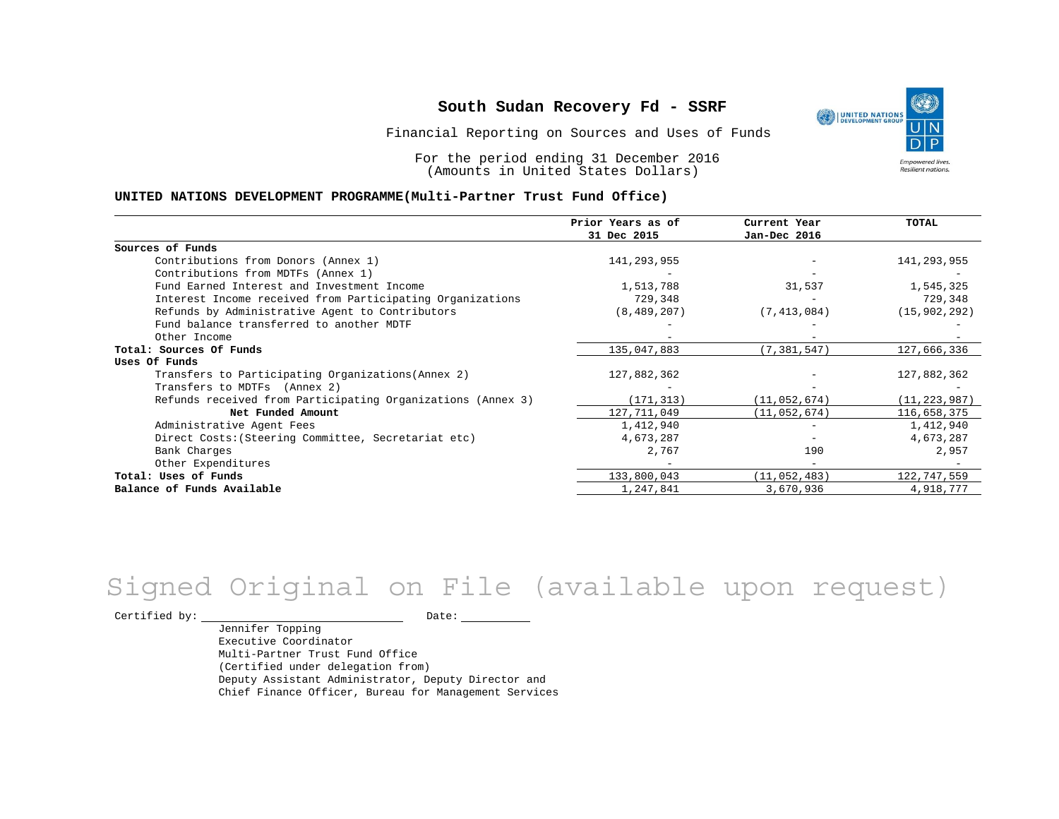Financial Reporting on Sources and Uses of Funds

For the period ending 31 December 2016 (Amounts in United States Dollars)

#### **UNITED NATIONS DEVELOPMENT PROGRAMME(Multi-Partner Trust Fund Office)**

|                                                             | Prior Years as of | Current Year             | <b>TOTAL</b>   |
|-------------------------------------------------------------|-------------------|--------------------------|----------------|
|                                                             | 31 Dec 2015       | Jan-Dec 2016             |                |
| Sources of Funds                                            |                   |                          |                |
| Contributions from Donors (Annex 1)                         | 141,293,955       |                          | 141,293,955    |
| Contributions from MDTFs (Annex 1)                          |                   |                          |                |
| Fund Earned Interest and Investment Income                  | 1,513,788         | 31,537                   | 1,545,325      |
| Interest Income received from Participating Organizations   | 729,348           |                          | 729,348        |
| Refunds by Administrative Agent to Contributors             | (8, 489, 207)     | (7, 413, 084)            | (15, 902, 292) |
| Fund balance transferred to another MDTF                    |                   |                          |                |
| Other Income                                                |                   |                          |                |
| Total: Sources Of Funds                                     | 135,047,883       | (7, 381, 547)            | 127,666,336    |
| Uses Of Funds                                               |                   |                          |                |
| Transfers to Participating Organizations (Annex 2)          | 127,882,362       |                          | 127,882,362    |
| Transfers to MDTFs (Annex 2)                                |                   |                          |                |
| Refunds received from Participating Organizations (Annex 3) | (171, 313)        | (11, 052, 674)           | (11, 223, 987) |
| Net Funded Amount                                           | 127,711,049       | (11, 052, 674)           | 116,658,375    |
| Administrative Agent Fees                                   | 1,412,940         | $\overline{\phantom{0}}$ | 1,412,940      |
| Direct Costs: (Steering Committee, Secretariat etc)         | 4,673,287         |                          | 4,673,287      |
| Bank Charges                                                | 2,767             | 190                      | 2,957          |
| Other Expenditures                                          |                   |                          |                |
| Total: Uses of Funds                                        | 133,800,043       | (11, 052, 483)           | 122,747,559    |
| Balance of Funds Available                                  | 1,247,841         | 3,670,936                | 4,918,777      |

# Signed Original on File (available upon request)

 $\begin{tabular}{c} \multicolumn{2}{c}{{\texttt{Certified by:}}}} \thicklines \end{tabular} \vspace{-.5cm} \begin{tabular}{l} \multicolumn{2}{c}{} {\color{blue}Date:} \thicklines \end{tabular} \end{tabular} \vspace{-.5cm} \begin{tabular}{l} \multicolumn{2}{c}{} {\color{blue}Date:} \thicklines \end{tabular} \end{tabular} \vspace{-.5cm} \begin{tabular}{l} \multicolumn{2}{c}{} {\color{blue}Date:} \thicklines \end{tabular} \end{tabular} \vspace{-.5cm} \begin{tabular}{l} \multicolumn{2}{c}{} {\color{$ 

Jennifer Topping Executive Coordinator Multi-Partner Trust Fund Office (Certified under delegation from) Deputy Assistant Administrator, Deputy Director and Chief Finance Officer, Bureau for Management Services

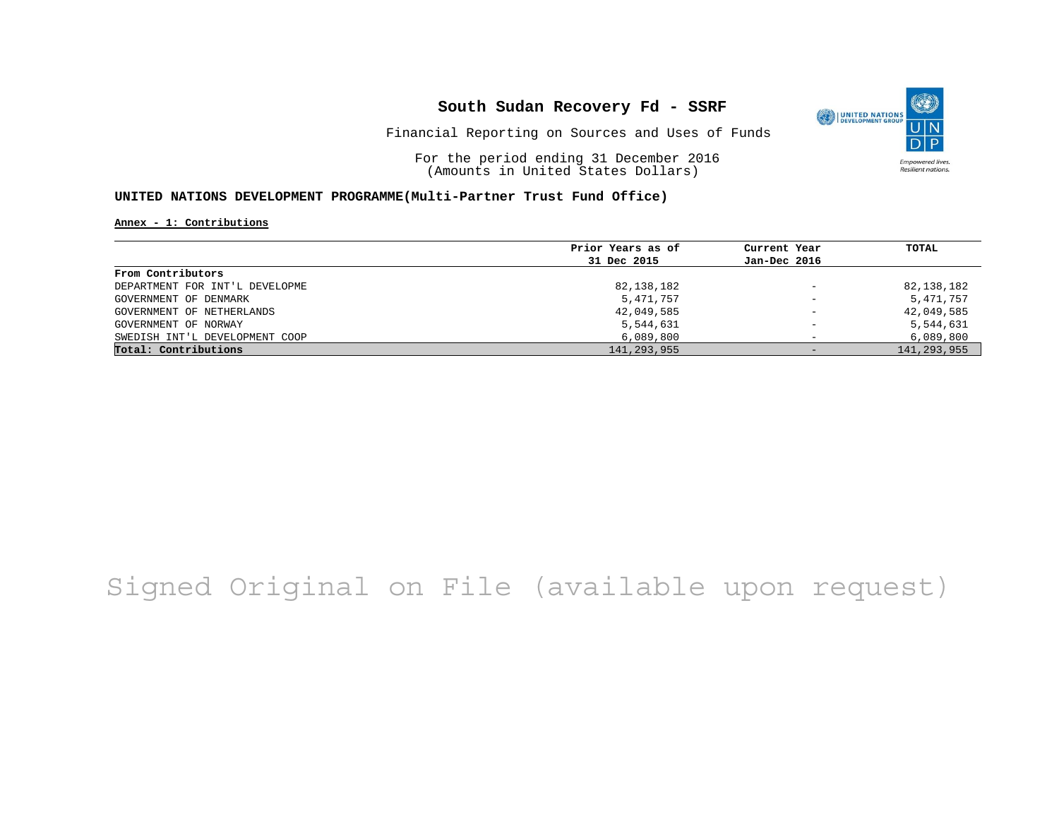

Financial Reporting on Sources and Uses of Funds

For the period ending 31 December 2016 (Amounts in United States Dollars)

#### **UNITED NATIONS DEVELOPMENT PROGRAMME(Multi-Partner Trust Fund Office)**

**Annex - 1: Contributions**

|                                | Prior Years as of | Current Year             | TOTAL         |
|--------------------------------|-------------------|--------------------------|---------------|
|                                | 31 Dec 2015       | Jan-Dec 2016             |               |
| From Contributors              |                   |                          |               |
| DEPARTMENT FOR INT'L DEVELOPME | 82,138,182        | $\qquad \qquad -$        | 82,138,182    |
| GOVERNMENT OF DENMARK          | 5,471,757         | $\overline{\phantom{a}}$ | 5,471,757     |
| GOVERNMENT OF NETHERLANDS      | 42,049,585        | $\overline{\phantom{m}}$ | 42,049,585    |
| GOVERNMENT OF NORWAY           | 5,544,631         | $\overline{\phantom{0}}$ | 5,544,631     |
| SWEDISH INT'L DEVELOPMENT COOP | 6,089,800         |                          | 6,089,800     |
| Total: Contributions           | 141,293,955       | $-$                      | 141, 293, 955 |

## Signed Original on File (available upon request)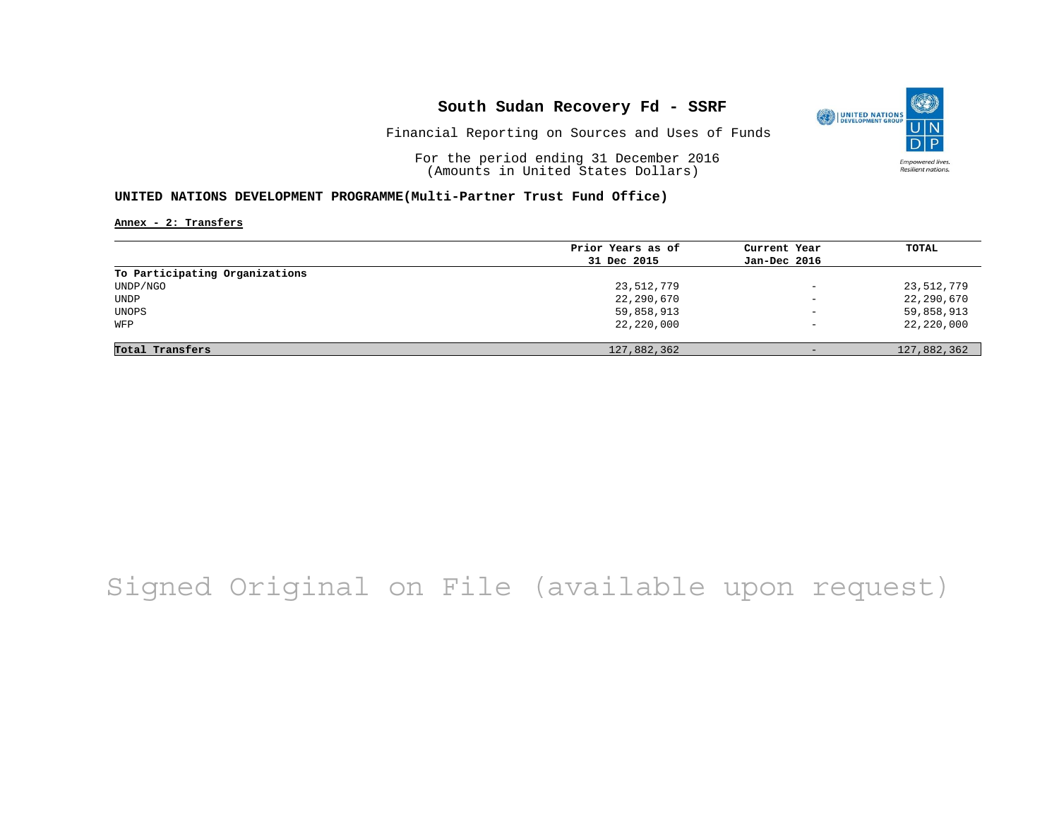

Financial Reporting on Sources and Uses of Funds

For the period ending 31 December 2016 (Amounts in United States Dollars)

#### **UNITED NATIONS DEVELOPMENT PROGRAMME(Multi-Partner Trust Fund Office)**

**Annex - 2: Transfers**

|                                | Prior Years as of | Current Year             | TOTAL       |
|--------------------------------|-------------------|--------------------------|-------------|
|                                | 31 Dec 2015       | Jan-Dec 2016             |             |
| To Participating Organizations |                   |                          |             |
| UNDP/NGO                       | 23,512,779        | $\overline{\phantom{0}}$ | 23,512,779  |
| <b>UNDP</b>                    | 22,290,670        | $\overline{\phantom{0}}$ | 22,290,670  |
| UNOPS                          | 59,858,913        | $\overline{\phantom{a}}$ | 59,858,913  |
| WFP                            | 22,220,000        | $\overline{\phantom{m}}$ | 22,220,000  |
|                                |                   |                          |             |
| Total Transfers                | 127,882,362       | $-$                      | 127,882,362 |

## Signed Original on File (available upon request)